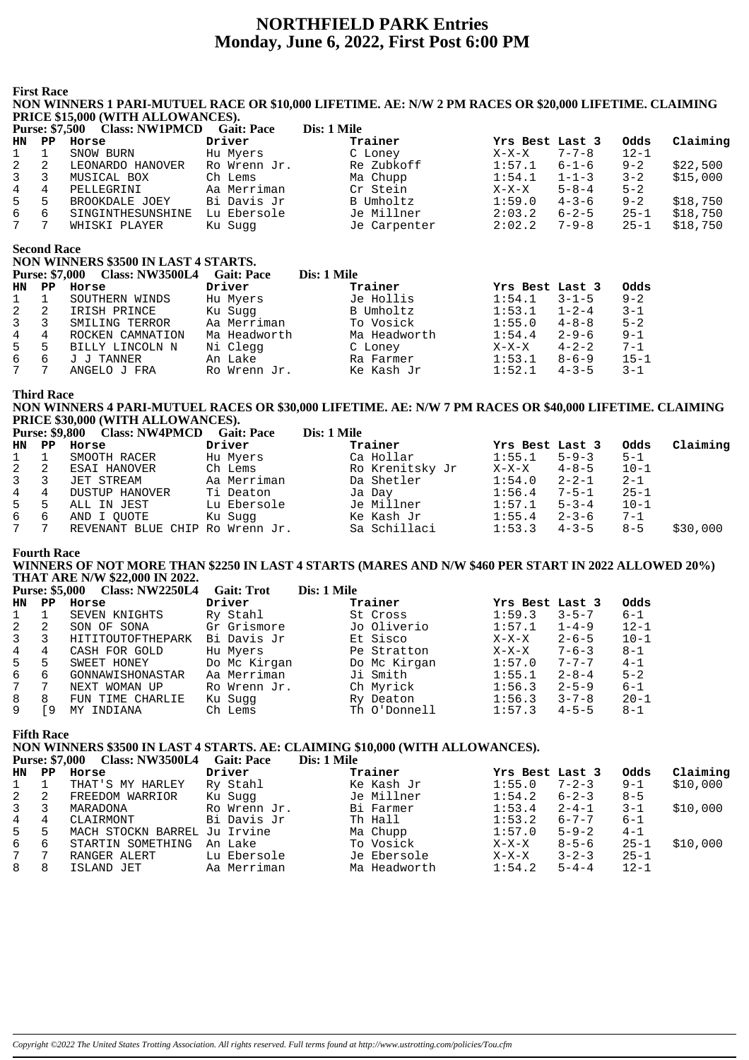## **NORTHFIELD PARK Entries Monday, June 6, 2022, First Post 6:00 PM**

**First Race**

#### **NON WINNERS 1 PARI-MUTUEL RACE OR \$10,000 LIFETIME. AE: N/W 2 PM RACES OR \$20,000 LIFETIME. CLAIMING PRICE \$15,000 (WITH ALLOWANCES).**

|                | <b>Purse: \$7,500</b> | <b>Class: NW1PMCD</b> | <b>Gait: Pace</b> | Dis: 1 Mile  |                 |             |          |          |
|----------------|-----------------------|-----------------------|-------------------|--------------|-----------------|-------------|----------|----------|
| HN             | PP.                   | Horse                 | Driver            | Trainer      | Yrs Best Last 3 |             | Odds     | Claiming |
| $\mathbf{1}$   |                       | SNOW BURN             | Hu Myers          | C Loney      | $X-X-X$         | $7 - 7 - 8$ | $12 - 1$ |          |
| 2              | -2                    | LEONARDO HANOVER      | Ro Wrenn Jr.      | Re Zubkoff   | 1:57.1          | $6 - 1 - 6$ | $9 - 2$  | \$22.500 |
| $\overline{3}$ | 3                     | MUSICAL BOX           | Ch Lems           | Ma Chupp     | 1:54.1          | $1 - 1 - 3$ | $3 - 2$  | \$15,000 |
| 4              | 4                     | PELLEGRINI            | Aa Merriman       | Cr Stein     | $X-X-X$         | $5 - 8 - 4$ | $5 - 2$  |          |
| 5              | 5                     | BROOKDALE JOEY        | Bi Davis Jr       | B Umholtz    | 1:59.0          | $4 - 3 - 6$ | $9 - 2$  | \$18,750 |
| 6              | 6                     | SINGINTHESUNSHINE     | Lu Ebersole       | Je Millner   | 2:03.2          | $6 - 2 - 5$ | $25 - 1$ | \$18,750 |
| 7              |                       | WHISKI PLAYER         | Ku Sugg           | Je Carpenter | 2:02.2          | $7 - 9 - 8$ | $25 - 1$ | \$18,750 |

**Second Race**

**NON WINNERS \$3500 IN LAST 4 STARTS. Purse: \$7,000 Class: NW3500L4 Gait: Pace Dis: 1 Mile HN PP Horse Driver Trainer Yrs Best Last 3 Odds** 1 1 SOUTHERN WINDS Hu Myers Je Hollis 1:54.1 3-1-5 9-2 2 2 IRISH PRINCE Ku Sugg B Umholtz 1:53.1 1-2-4 3-1 3 3 SMILING TERROR Aa Merriman To Vosick 1:55.0 4-8-8 5-2 4 4 ROCKEN CAMNATION Ma Headworth Ma Headworth 1:54.4 2-9-6 9-1 5 5 BILLY LINCOLN N Ni Clegg C Loney X-X-X 4-2-2 7-1 6 6 J J TANNER An Lake Ra Farmer 1:53.1 8-6-9 15-1 7 7 ANGELO J FRA Ro Wrenn Jr. Ke Kash Jr 1:52.1 4-3-5 3-1

#### **Third Race**

#### **NON WINNERS 4 PARI-MUTUEL RACES OR \$30,000 LIFETIME. AE: N/W 7 PM RACES OR \$40,000 LIFETIME. CLAIMING PRICE \$30,000 (WITH ALLOWANCES).**

|             |                | Purse: \$9,800 Class: NW4PMCD   | <b>Gait: Pace</b> | Dis: 1 Mile     |                 |             |          |          |
|-------------|----------------|---------------------------------|-------------------|-----------------|-----------------|-------------|----------|----------|
| HN PP       |                | Horse                           | Driver            | Trainer         | Yrs Best Last 3 |             | Odds     | Claiming |
| $1 \quad 1$ |                | SMOOTH RACER                    | Hu Myers          | Ca Hollar       | 1:55.1          | $5 - 9 - 3$ | $5 - 1$  |          |
| 2           | - 2            | ESAI HANOVER                    | Ch Lems           | Ro Krenitsky Jr | $X-X-X$         | $4 - 8 - 5$ | $10 - 1$ |          |
| 3           | -3             | JET STREAM                      | Aa Merriman       | Da Shetler      | 1:54.0          | $2 - 2 - 1$ | $2 - 1$  |          |
| 4           | 4              | <b>DUSTUP HANOVER</b>           | Ti Deaton         | Ja Day          | 1:56.4          | 7-5-1       | $25 - 1$ |          |
| 5           | .5             | ALL IN JEST                     | Lu Ebersole       | Je Millner      | 1:57.1          | $5 - 3 - 4$ | $10 - 1$ |          |
| 6           | 6              | AND I OUOTE                     | Ku Suqq           | Ke Kash Jr      | 1:55.4          | $2 - 3 - 6$ | $7 - 1$  |          |
| 7           | $\overline{7}$ | REVENANT BLUE CHIP Ro Wrenn Jr. |                   | Sa Schillaci    | 1:53.3          | $4 - 3 - 5$ | $8 - 5$  | \$30,000 |

#### **Fourth Race**

#### **WINNERS OF NOT MORE THAN \$2250 IN LAST 4 STARTS (MARES AND N/W \$460 PER START IN 2022 ALLOWED 20%) THAT ARE N/W \$22,000 IN 2022.**

|              |    | Purse: \$5,000 Class: NW2250L4 | <b>Gait: Trot</b> | Dis: 1 Mile  |                 |             |          |
|--------------|----|--------------------------------|-------------------|--------------|-----------------|-------------|----------|
| HN           | PP | Horse                          | Driver            | Trainer      | Yrs Best Last 3 |             | Odds     |
| $\mathbf{1}$ |    | SEVEN KNIGHTS                  | Ry Stahl          | St Cross     | 1:59.3          | $3 - 5 - 7$ | $6 - 1$  |
| 2            | 2  | SON OF SONA                    | Gr Grismore       | Jo Oliverio  | 1:57.1          | $1 - 4 - 9$ | $12 - 1$ |
| 3            | 3  | HITITOUTOFTHEPARK              | Bi Davis Jr       | Et Sisco     | $X-X-X$         | $2 - 6 - 5$ | $10 - 1$ |
| 4            | 4  | CASH FOR GOLD                  | Hu Myers          | Pe Stratton  | X-X-X           | $7 - 6 - 3$ | $8 - 1$  |
| 5            | 5. | SWEET HONEY                    | Do Mc Kirgan      | Do Mc Kirgan | 1:57.0          | $7 - 7 - 7$ | $4 - 1$  |
| 6            | 6  | GONNAWISHONASTAR               | Aa Merriman       | Ji Smith     | 1:55.1          | $2 - 8 - 4$ | $5 - 2$  |
| $7\degree$   |    | NEXT WOMAN UP                  | Ro Wrenn Jr.      | Ch Myrick    | 1:56.3          | $2 - 5 - 9$ | $6 - 1$  |
| 8            | 8  | FUN TIME CHARLIE               | Ku Sugg           | Ry Deaton    | 1:56.3          | $3 - 7 - 8$ | $20 - 1$ |
| 9            | 9  | MY INDIANA                     | Ch Lems           | Th O'Donnell | 1:57.3          | $4 - 5 - 5$ | $8 - 1$  |

#### **Fifth Race**

## **NON WINNERS \$3500 IN LAST 4 STARTS. AE: CLAIMING \$10,000 (WITH ALLOWANCES).**

|                |    | Purse: \$7,000 Class: NW3500L4 | <b>Gait: Pace</b> | Dis: 1 Mile  |                 |             |          |          |
|----------------|----|--------------------------------|-------------------|--------------|-----------------|-------------|----------|----------|
| HN             | PP | Horse                          | Driver            | Trainer      | Yrs Best Last 3 |             | Odds     | Claiming |
|                |    | THAT'S MY HARLEY               | Ry Stahl          | Ke Kash Jr   | 1:55.0          | $7 - 2 - 3$ | $9 - 1$  | \$10,000 |
| $\overline{a}$ | 2  | FREEDOM WARRIOR                | Ku Sugg           | Je Millner   | 1:54.2          | $6 - 2 - 3$ | $8 - 5$  |          |
| 3 <sup>7</sup> |    | MARADONA                       | Ro Wrenn Jr.      | Bi Farmer    | 1:53.4          | $2 - 4 - 1$ | $3 - 1$  | \$10,000 |
| 4              | 4  | CLAIRMONT                      | Bi Davis Jr       | Th Hall      | 1:53.2          | $6 - 7 - 7$ | $6 - 1$  |          |
| 5              | 5  | MACH STOCKN BARREL Ju Irvine   |                   | Ma Chupp     | 1:57.0          | $5 - 9 - 2$ | $4 - 1$  |          |
| 6              | 6  | STARTIN SOMETHING              | An Lake           | To Vosick    | $X-X-X$         | $8 - 5 - 6$ | $25 - 1$ | \$10,000 |
| 7              | 7  | RANGER ALERT                   | Lu Ebersole       | Je Ebersole  | $X-X-X$         | $3 - 2 - 3$ | $25 - 1$ |          |
| 8              | 8  | ISLAND JET                     | Aa Merriman       | Ma Headworth | 1:54.2          | $5 - 4 - 4$ | $12 - 1$ |          |
|                |    |                                |                   |              |                 |             |          |          |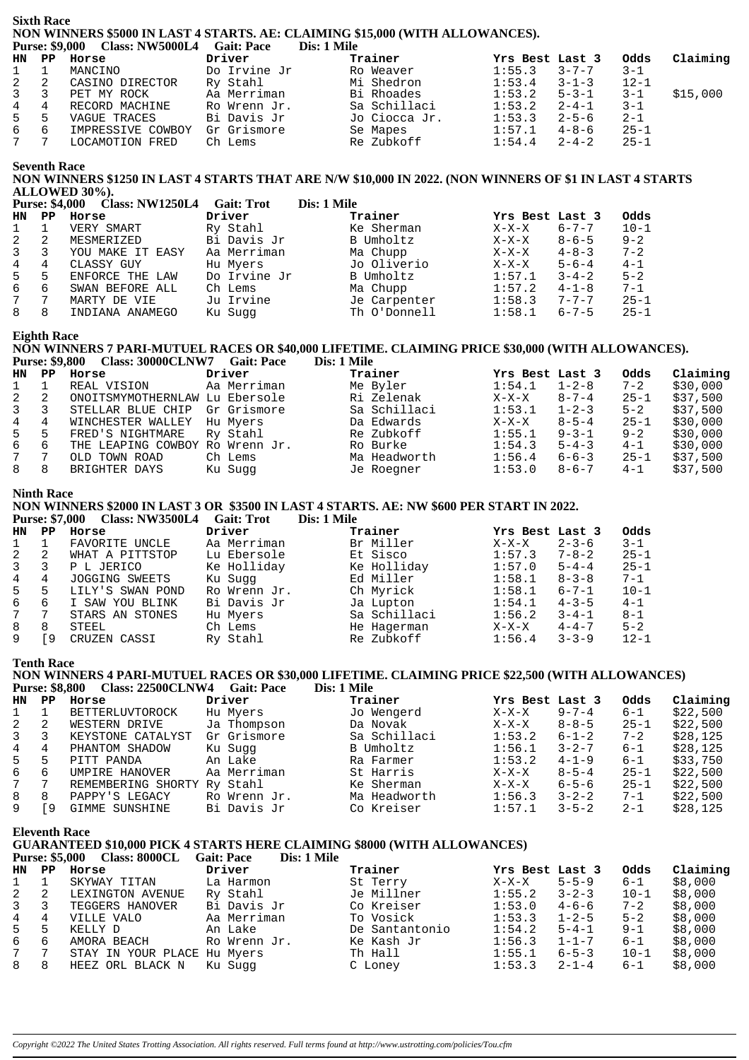# **Sixth Race** NON WINNERS \$5000 IN LAST 4 STARTS. AE: CLAIMING \$15,000 (WITH ALLOWANCES).<br>Purse: \$9,000 Class: NW5000L4 Gait: Pace Dis: 1 Mile

|     |   |                   | DIS: 1 MHE   |               |                  |             |          |          |
|-----|---|-------------------|--------------|---------------|------------------|-------------|----------|----------|
|     |   | HN PP Horse       | Driver       | Trainer       | Yrs Best Last 3  |             | Odds     | Claiming |
| 1 1 |   | MANCINO           | Do Irvine Jr | Ro Weaver     | 1:55.3           | $3 - 7 - 7$ | $-3-1$   |          |
| 2 2 |   | CASINO DIRECTOR   | Ry Stahl     | Mi Shedron    | $1:53.4$ $3-1-3$ |             | $12 - 1$ |          |
| 3 3 |   | PET MY ROCK       | Aa Merriman  | Bi Rhoades    | 1:53.2           | $5 - 3 - 1$ | $3 - 1$  | \$15,000 |
| 4 4 |   | RECORD MACHINE    | Ro Wrenn Jr. | Sa Schillaci  | 1:53.2           | $2 - 4 - 1$ | $3 - 1$  |          |
| 5 — | 5 | VAGUE TRACES      | Bi Davis Jr  | Jo Ciocca Jr. | 1:53.3           | $2 - 5 - 6$ | $2 - 1$  |          |
| 66  |   | IMPRESSIVE COWBOY | Gr Grismore  | Se Mapes      | $1:57.1$ $4-8-6$ |             | $25 - 1$ |          |
| 7 7 |   | LOCAMOTION FRED   | Ch Lems      | Re Zubkoff    | 1:54.4           | $2 - 4 - 2$ | $25 - 1$ |          |
|     |   |                   |              |               |                  |             |          |          |

#### **Seventh Race**

#### NON WINNERS \$1250 IN LAST 4 STARTS THAT ARE N/W \$10,000 IN 2022. (NON WINNERS OF \$1 IN LAST 4 STARTS ALLOWED 30%). NIVIAEOLA  $\alpha$  is  $\alpha$  $\mathbf{R}$  and  $\mathbf{R}$

|              | Purse: \$4,000 | Class: NW1250L4  | Gait: Trot   | Dis: 1 Mile  |                 |             |          |
|--------------|----------------|------------------|--------------|--------------|-----------------|-------------|----------|
| HN.          | PP.            | Horse            | Driver       | Trainer      | Yrs Best Last 3 |             | Odds     |
| $\mathbf{1}$ |                | VERY SMART       | Ry Stahl     | Ke Sherman   | $X-X-X$         | $6 - 7 - 7$ | $10 - 1$ |
| 2            |                | MESMERIZED       | Bi Davis Jr  | B Umholtz    | $X-X-X$         | $8 - 6 - 5$ | $9 - 2$  |
| 3            |                | YOU MAKE IT EASY | Aa Merriman  | Ma Chupp     | $X-X-X$         | $4 - 8 - 3$ | $7 - 2$  |
| 4            | 4              | CLASSY GUY       | Hu Myers     | Jo Oliverio  | $X-X-X$         | $5 - 6 - 4$ | $4 - 1$  |
| 5            | 5              | ENFORCE THE LAW  | Do Irvine Jr | B Umholtz    | 1:57.1          | $3 - 4 - 2$ | $5 - 2$  |
| 6            | 6              | SWAN BEFORE ALL  | Ch Lems      | Ma Chupp     | 1:57.2          | $4 - 1 - 8$ | $7 - 1$  |
| 7            |                | MARTY DE VIE     | Ju Irvine    | Je Carpenter | 1:58.3          | $7 - 7 - 7$ | $25 - 1$ |
| 8            | 8              | INDIANA ANAMEGO  | Ku Sugg      | Th O'Donnell | 1:58.1          | $6 - 7 - 5$ | $25 - 1$ |

### **Eighth Race**

#### NON WINNERS 7 PARI-MUTUEL RACES OR \$40,000 LIFETIME. CLAIMING PRICE \$30,000 (WITH ALLOWANCES). Purse: \$9,800 Class: 30000CLNW7 Gait: Pace Dis: 1 Mile

| HN.             | PP             | Horse                           | Driver      | Trainer      | Yrs Best Last 3 |             | Odds     | Claiming |
|-----------------|----------------|---------------------------------|-------------|--------------|-----------------|-------------|----------|----------|
| 1               |                | REAL VISION                     | Aa Merriman | Me Byler     | 1:54.1          | $1 - 2 - 8$ | $7 - 2$  | \$30,000 |
| 2               | - 2            | ONOITSMYMOTHERNLAW Lu Ebersole  |             | Ri Zelenak   | X-X-X           | $8 - 7 - 4$ | $25 - 1$ | \$37,500 |
| 3               | -3             | STELLAR BLUE CHIP               | Gr Grismore | Sa Schillaci | 1:53.1          | $1 - 2 - 3$ | $5 - 2$  | \$37,500 |
| $4\overline{ }$ | 4              | WINCHESTER WALLEY               | Hu Myers    | Da Edwards   | X-X-X           | $8 - 5 - 4$ | $25 - 1$ | \$30,000 |
| 5               | -5             | FRED'S NIGHTMARE                | Rv Stahl    | Re Zubkoff   | 1:55.1          | $9 - 3 - 1$ | $9 - 2$  | \$30,000 |
| 6               | - 6            | THE LEAPING COWBOY Ro Wrenn Jr. |             | Ro Burke     | 1:54.3          | $5 - 4 - 3$ | $4 - 1$  | \$30,000 |
| 7               |                | OLD TOWN ROAD                   | Ch Lems     | Ma Headworth | 1:56.4          | $6 - 6 - 3$ | $25 - 1$ | \$37,500 |
| 8               | 8 <sup>8</sup> | BRIGHTER DAYS                   | Ku Sugg     | Je Roegner   | 1:53.0          | $8 - 6 - 7$ | $4 - 1$  | \$37,500 |

#### **Ninth Race**

# NON WINNERS \$2000 IN LAST 3 OR \$3500 IN LAST 4 STARTS. AE: NW \$600 PER START IN 2022.<br>Purse: \$7,000 Class: NW3500L4 Gait: Trot Dis: 1 Mile

|              |              | <b>FULSE:</b> 57,000 Class: IVW JOUUL GAIL: ITUL |              | DIS, 1 IVINE |                 |             |          |
|--------------|--------------|--------------------------------------------------|--------------|--------------|-----------------|-------------|----------|
| HN           | PP.          | Horse                                            | Driver       | Trainer      | Yrs Best Last 3 |             | Odds     |
| $\mathbf{1}$ |              | FAVORITE UNCLE                                   | Aa Merriman  | Br Miller    | $X-X-X$         | $2 - 3 - 6$ | $3 - 1$  |
| 2            | <sup>2</sup> | WHAT A PITTSTOP                                  | Lu Ebersole  | Et Sisco     | 1:57.3          | $7 - 8 - 2$ | $25 - 1$ |
| 3            | 3            | P L JERICO                                       | Ke Holliday  | Ke Holliday  | 1:57.0          | $5 - 4 - 4$ | $25 - 1$ |
| 4            | 4            | JOGGING SWEETS                                   | Ku Suqq      | Ed Miller    | 1:58.1          | $8 - 3 - 8$ | $7 - 1$  |
| 5            | 5.           | LILY'S SWAN POND                                 | Ro Wrenn Jr. | Ch Myrick    | 1:58.1          | 6-7-1       | $10 - 1$ |
| 6            | 6            | I SAW YOU BLINK                                  | Bi Davis Jr  | Ja Lupton    | 1:54.1          | $4 - 3 - 5$ | $4 - 1$  |
| $7\degree$   |              | STARS AN STONES                                  | Hu Myers     | Sa Schillaci | 1:56.2          | $3 - 4 - 1$ | $8 - 1$  |
| 8            | 8            | STEEL                                            | Ch Lems      | He Hagerman  | $X-X-X$         | $4 - 4 - 7$ | $5 - 2$  |
| 9            | <b>F</b> 9   | CRUZEN CASSI                                     | Ry Stahl     | Re Zubkoff   | 1:56.4          | $3 - 3 - 9$ | $12 - 1$ |

#### **Tenth Race**

#### NON WINNERS 4 PARI-MUTUEL RACES OR \$30,000 LIFETIME. CLAIMING PRICE \$22,500 (WITH ALLOWANCES)

|              | <b>Purse: \$8,800</b> | Class: 22500CLNW4 Gait: Pace |              | Dis: 1 Mile  |                 |             |          |          |
|--------------|-----------------------|------------------------------|--------------|--------------|-----------------|-------------|----------|----------|
| HN           | PP.                   | Horse                        | Driver       | Trainer      | Yrs Best Last 3 |             | Odds     | Claiming |
| $\mathbf{1}$ |                       | BETTERLUVTOROCK              | Hu Myers     | Jo Wengerd   | $X-X-X$         | $9 - 7 - 4$ | $6 - 1$  | \$22.500 |
| 2            |                       | WESTERN DRIVE                | Ja Thompson  | Da Novak     | $X-X-X$         | $8 - 8 - 5$ | $25 - 1$ | \$22,500 |
| $\mathbf{3}$ |                       | KEYSTONE CATALYST            | Gr Grismore  | Sa Schillaci | 1:53.2          | $6 - 1 - 2$ | $7 - 2$  | \$28,125 |
| 4            | 4                     | PHANTOM SHADOW               | Ku Sugg      | B Umholtz    | 1:56.1          | $3 - 2 - 7$ | $6 - 1$  | \$28,125 |
| 5            | 5                     | PITT PANDA                   | An Lake      | Ra Farmer    | 1:53.2          | $4 - 1 - 9$ | $6 - 1$  | \$33,750 |
| 6            | 6                     | UMPIRE HANOVER               | Aa Merriman  | St Harris    | X-X-X           | $8 - 5 - 4$ | $25 - 1$ | \$22,500 |
| 7            |                       | REMEMBERING SHORTY Ry Stahl  |              | Ke Sherman   | $X-X-X$         | $6 - 5 - 6$ | $25 - 1$ | \$22,500 |
| 8            | 8                     | PAPPY'S LEGACY               | Ro Wrenn Jr. | Ma Headworth | 1:56.3          | $3 - 2 - 2$ | $7 - 1$  | \$22,500 |
| 9            | -9                    | GIMME SUNSHINE               | Bi Davis Jr  | Co Kreiser   | 1:57.1          | $3 - 5 - 2$ | $2 - 1$  | \$28.125 |

#### **Eleventh Race**

## **GUARANTEED \$10,000 PICK 4 STARTS HERE CLAIMING \$8000 (WITH ALLOWANCES)**

#### Purse: \$5,000 Class: 8000CL Gait: Pace Dis: 1 Mile

| HN PP        |    | Horse                       | Driver       | Trainer        | Yrs Best Last 3 |             | Odds     | Claiming |
|--------------|----|-----------------------------|--------------|----------------|-----------------|-------------|----------|----------|
| $1 \quad$    |    | SKYWAY TITAN                | La Harmon    | St Terry       | $X-X-X$         | $5 - 5 - 9$ | $6 - 1$  | \$8,000  |
| $\mathbf{2}$ | -2 | LEXINGTON AVENUE            | Ry Stahl     | Je Millner     | 1:55.2          | $3 - 2 - 3$ | $10 - 1$ | \$8,000  |
| $3 \quad 3$  |    | TEGGERS HANOVER             | Bi Davis Jr  | Co Kreiser     | 1:53.0          | $4 - 6 - 6$ | $7 - 2$  | \$8,000  |
| $4 \quad$    | 4  | VILLE VALO                  | Aa Merriman  | To Vosick      | 1:53.3          | $1 - 2 - 5$ | $5 - 2$  | \$8,000  |
| 5            |    | KELLY D                     | An Lake      | De Santantonio | 1:54.2          | $5 - 4 - 1$ | $9 - 1$  | \$8,000  |
| 6            | -6 | AMORA BEACH                 | Ro Wrenn Jr. | Ke Kash Jr     | 1:56.3          | $1 - 1 - 7$ | $6 - 1$  | \$8,000  |
| 7 7          |    | STAY IN YOUR PLACE Hu Myers |              | Th Hall        | 1:55.1          | $6 - 5 - 3$ | $10 - 1$ | \$8,000  |
| 8 8          |    | HEEZ ORL BLACK N            | Ku Suqq      | C Loney        | 1:53.3          | $2 - 1 - 4$ | 6-1      | \$8,000  |